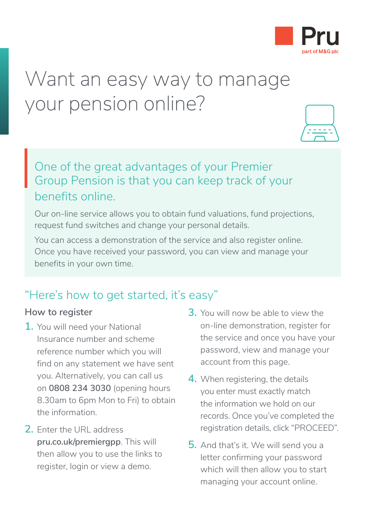

# Want an easy way to manage your pension online?



## One of the great advantages of your Premier Group Pension is that you can keep track of your benefits online. One<br>Gro<br>hen

Our on-line service allows you to obtain fund valuations, fund projections, request fund switches and change your personal details.

You can access a demonstration of the service and also register online. Once you have received your password, you can view and manage your benefits in your own time.

### "Here's how to get started, it's easy"

#### **How to register**

- **1.** You will need your National Insurance number and scheme reference number which you will find on any statement we have sent you. Alternatively, you can call us on **0808 234 3030** (opening hours 8.30am to 6pm Mon to Fri) to obtain the information.
- **2.** Enter the URL address **[pru.co.uk/premiergpp](https://www.pru.co.uk/premiergpp)**. This will then allow you to use the links to register, login or view a demo.
- **3.** You will now be able to view the on-line demonstration, register for the service and once you have your password, view and manage your account from this page.
- **4.** When registering, the details you enter must exactly match the information we hold on our records. Once you've completed the registration details, click "PROCEED".
- **5.** And that's it. We will send you a letter confirming your password which will then allow you to start managing your account online.